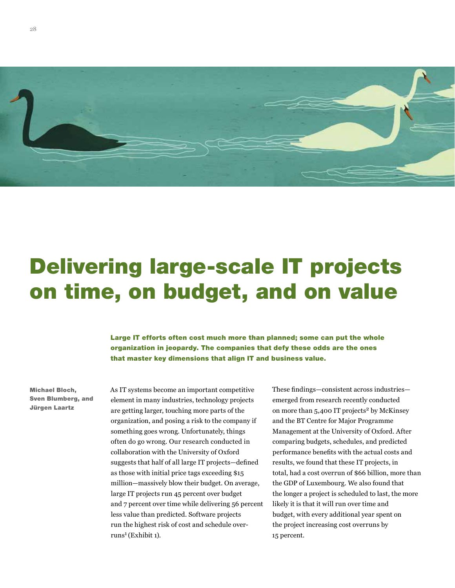

# Delivering large-scale IT projects on time, on budget, and on value

Large IT efforts often cost much more than planned; some can put the whole organization in jeopardy. The companies that defy these odds are the ones that master key dimensions that align IT and business value.

Michael Bloch, Sven Blumberg, and Jürgen Laartz

As IT systems become an important competitive element in many industries, technology projects are getting larger, touching more parts of the organization, and posing a risk to the company if something goes wrong. Unfortunately, things often do go wrong. Our research conducted in collaboration with the University of Oxford suggests that half of all large IT projects—defined as those with initial price tags exceeding \$15 million—massively blow their budget. On average, large IT projects run 45 percent over budget and 7 percent over time while delivering 56 percent less value than predicted. Software projects run the highest risk of cost and schedule overruns1 (Exhibit 1).

These findings—consistent across industries emerged from research recently conducted on more than  $5,400$  IT projects<sup>2</sup> by McKinsey and the BT Centre for Major Programme Management at the University of Oxford. After comparing budgets, schedules, and predicted performance benefits with the actual costs and results, we found that these IT projects, in total, had a cost overrun of \$66 billion, more than the GDP of Luxembourg. We also found that the longer a project is scheduled to last, the more likely it is that it will run over time and budget, with every additional year spent on the project increasing cost overruns by 15 percent.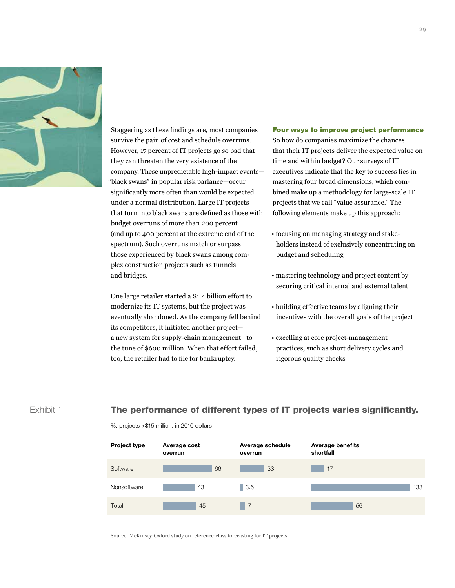

Staggering as these findings are, most companies survive the pain of cost and schedule overruns. However, 17 percent of IT projects go so bad that they can threaten the very existence of the company. These unpredictable high-impact events— "black swans" in popular risk parlance—occur significantly more often than would be expected under a normal distribution. Large IT projects that turn into black swans are defined as those with budget overruns of more than 200 percent (and up to 400 percent at the extreme end of the spectrum). Such overruns match or surpass those experienced by black swans among complex construction projects such as tunnels and bridges.

One large retailer started a \$1.4 billion effort to modernize its IT systems, but the project was eventually abandoned. As the company fell behind its competitors, it initiated another projecta new system for supply-chain management-to the tune of \$600 million. When that effort failed, too, the retailer had to file for bankruptcy.

#### Four ways to improve project performance

So how do companies maximize the chances that their IT projects deliver the expected value on time and within budget? Our surveys of IT executives indicate that the key to success lies in mastering four broad dimensions, which combined make up a methodology for large-scale IT projects that we call "value assurance." The following elements make up this approach:

- focusing on managing strategy and stakeholders instead of exclusively concentrating on budget and scheduling
- mastering technology and project content by securing critical internal and external talent
- building effective teams by aligning their incentives with the overall goals of the project
- excelling at core project-management practices, such as short delivery cycles and rigorous quality checks

# Exhibit 1

# The performance of different types of IT projects varies significantly.

%, projects >\$15 million, in 2010 dollars



Source: McKinsey-Oxford study on reference-class forecasting for IT projects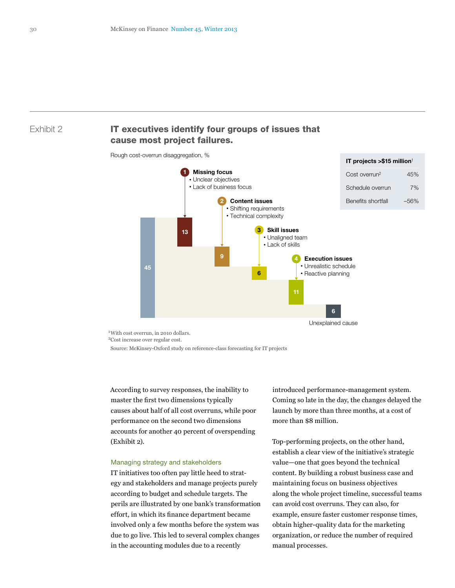## Exhibit 2

# IT executives identify four groups of issues that cause most project failures.

Rough cost-overrun disaggregation, %



<sup>1</sup> With cost overrun, in 2010 dollars.

2Cost increase over regular cost.

Source: McKinsey-Oxford study on reference-class forecasting for IT projects

According to survey responses, the inability to master the first two dimensions typically causes about half of all cost overruns, while poor performance on the second two dimensions accounts for another 40 percent of overspending (Exhibit 2).

#### Managing strategy and stakeholders

IT initiatives too often pay little heed to strategy and stakeholders and manage projects purely according to budget and schedule targets. The perils are illustrated by one bank's transformation effort, in which its finance department became involved only a few months before the system was due to go live. This led to several complex changes in the accounting modules due to a recently

introduced performance-management system. Coming so late in the day, the changes delayed the launch by more than three months, at a cost of more than \$8 million.

Top-performing projects, on the other hand, establish a clear view of the initiative's strategic value—one that goes beyond the technical content. By building a robust business case and maintaining focus on business objectives along the whole project timeline, successful teams can avoid cost overruns. They can also, for example, ensure faster customer response times, obtain higher-quality data for the marketing organization, or reduce the number of required manual processes.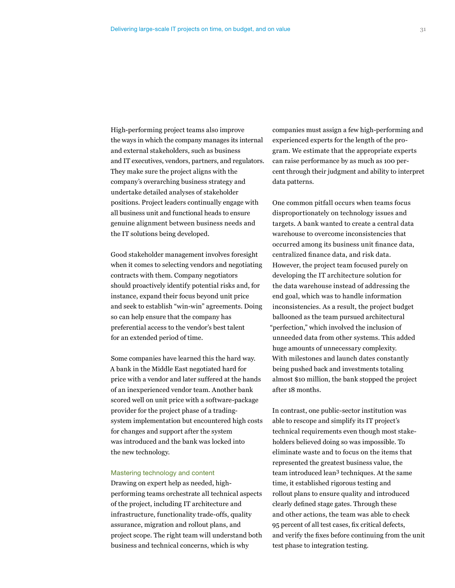High-performing project teams also improve the ways in which the company manages its internal and external stakeholders, such as business and IT executives, vendors, partners, and regulators. They make sure the project aligns with the company's overarching business strategy and undertake detailed analyses of stakeholder positions. Project leaders continually engage with all business unit and functional heads to ensure genuine alignment between business needs and the IT solutions being developed.

Good stakeholder management involves foresight when it comes to selecting vendors and negotiating contracts with them. Company negotiators should proactively identify potential risks and, for instance, expand their focus beyond unit price and seek to establish "win-win" agreements. Doing so can help ensure that the company has preferential access to the vendor's best talent for an extended period of time.

Some companies have learned this the hard way. A bank in the Middle East negotiated hard for price with a vendor and later suffered at the hands of an inexperienced vendor team. Another bank scored well on unit price with a software-package provider for the project phase of a tradingsystem implementation but encountered high costs for changes and support after the system was introduced and the bank was locked into the new technology.

#### Mastering technology and content

Drawing on expert help as needed, highperforming teams orchestrate all technical aspects of the project, including IT architecture and infrastructure, functionality trade-offs, quality assurance, migration and rollout plans, and project scope. The right team will understand both business and technical concerns, which is why

companies must assign a few high-performing and experienced experts for the length of the program. We estimate that the appropriate experts can raise performance by as much as 100 percent through their judgment and ability to interpret data patterns.

One common pitfall occurs when teams focus disproportionately on technology issues and targets. A bank wanted to create a central data warehouse to overcome inconsistencies that occurred among its business unit finance data, centralized finance data, and risk data. However, the project team focused purely on developing the IT architecture solution for the data warehouse instead of addressing the end goal, which was to handle information inconsistencies. As a result, the project budget ballooned as the team pursued architectural "perfection," which involved the inclusion of unneeded data from other systems. This added huge amounts of unnecessary complexity. With milestones and launch dates constantly being pushed back and investments totaling almost \$10 million, the bank stopped the project after 18 months.

In contrast, one public-sector institution was able to rescope and simplify its IT project's technical requirements even though most stakeholders believed doing so was impossible. To eliminate waste and to focus on the items that represented the greatest business value, the team introduced lean3 techniques. At the same time, it established rigorous testing and rollout plans to ensure quality and introduced clearly defined stage gates. Through these and other actions, the team was able to check 95 percent of all test cases, fix critical defects, and verify the fixes before continuing from the unit test phase to integration testing.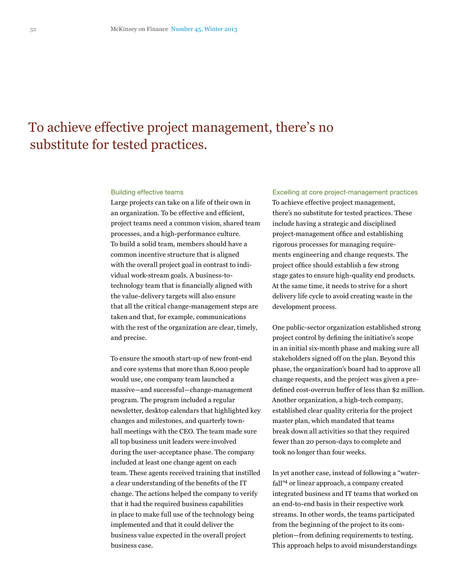# To achieve effective project management, there's no substitute for tested practices.

#### Building effective teams

Large projects can take on a life of their own in an organization. To be effective and efficient, project teams need a common vision, shared team processes, and a high-performance culture. To build a solid team, members should have a common incentive structure that is aligned with the overall project goal in contrast to individual work-stream goals. A business-totechnology team that is financially aligned with the value-delivery targets will also ensure that all the critical change-management steps are taken and that, for example, communications with the rest of the organization are clear, timely, and precise.

To ensure the smooth start-up of new front-end and core systems that more than 8,000 people would use, one company team launched a massive—and successful—change-management program. The program included a regular newsletter, desktop calendars that highlighted key changes and milestones, and quarterly townhall meetings with the CEO. The team made sure all top business unit leaders were involved during the user-acceptance phase. The company included at least one change agent on each team. These agents received training that instilled a clear understanding of the benefits of the IT change. The actions helped the company to verify that it had the required business capabilities in place to make full use of the technology being implemented and that it could deliver the business value expected in the overall project business case.

Excelling at core project-management practices To achieve effective project management, there's no substitute for tested practices. These include having a strategic and disciplined project-management office and establishing rigorous processes for managing requirements engineering and change requests. The project office should establish a few strong stage gates to ensure high-quality end products. At the same time, it needs to strive for a short delivery life cycle to avoid creating waste in the development process.

One public-sector organization established strong project control by defining the initiative's scope in an initial six-month phase and making sure all stakeholders signed off on the plan. Beyond this phase, the organization's board had to approve all change requests, and the project was given a predefined cost-overrun buffer of less than \$2 million. Another organization, a high-tech company, established clear quality criteria for the project master plan, which mandated that teams break down all activities so that they required fewer than 20 person-days to complete and took no longer than four weeks.

In yet another case, instead of following a "waterfall"4 or linear approach, a company created integrated business and IT teams that worked on an end-to-end basis in their respective work streams. In other words, the teams participated from the beginning of the project to its completion—from defining requirements to testing. This approach helps to avoid misunderstandings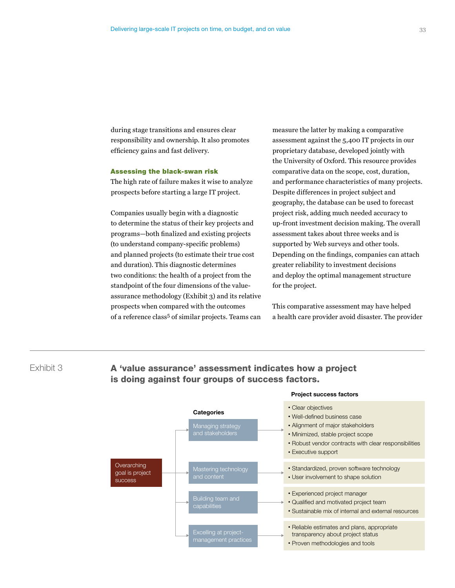during stage transitions and ensures clear responsibility and ownership. It also promotes efficiency gains and fast delivery.

### Assessing the black-swan risk

The high rate of failure makes it wise to analyze prospects before starting a large IT project.

Companies usually begin with a diagnostic to determine the status of their key projects and programs—both finalized and existing projects (to understand company-specific problems) and planned projects (to estimate their true cost and duration). This diagnostic determines two conditions: the health of a project from the standpoint of the four dimensions of the valueassurance methodology (Exhibit 3) and its relative prospects when compared with the outcomes of a reference class<sup>5</sup> of similar projects. Teams can

is doing against four groups of success factors.

measure the latter by making a comparative assessment against the 5,400 IT projects in our proprietary database, developed jointly with the University of Oxford. This resource provides comparative data on the scope, cost, duration, and performance characteristics of many projects. Despite differences in project subject and geography, the database can be used to forecast project risk, adding much needed accuracy to up-front investment decision making. The overall assessment takes about three weeks and is supported by Web surveys and other tools. Depending on the findings, companies can attach greater reliability to investment decisions and deploy the optimal management structure for the project.

This comparative assessment may have helped a health care provider avoid disaster. The provider



# Exhibit 3 **A 'value assurance' assessment indicates how a project**

33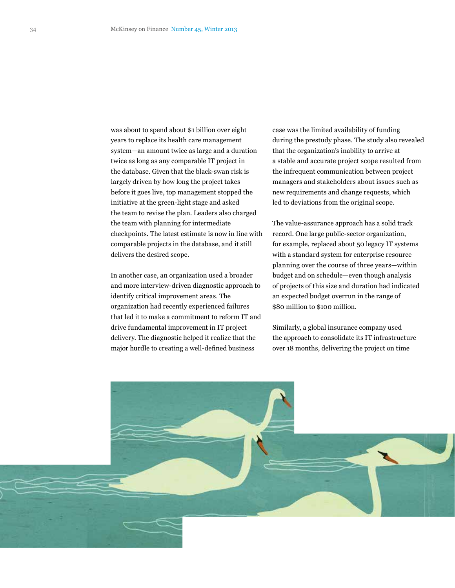was about to spend about \$1 billion over eight years to replace its health care management system—an amount twice as large and a duration twice as long as any comparable IT project in the database. Given that the black-swan risk is largely driven by how long the project takes before it goes live, top management stopped the initiative at the green-light stage and asked the team to revise the plan. Leaders also charged the team with planning for intermediate checkpoints. The latest estimate is now in line with comparable projects in the database, and it still delivers the desired scope.

In another case, an organization used a broader and more interview-driven diagnostic approach to identify critical improvement areas. The organization had recently experienced failures that led it to make a commitment to reform IT and drive fundamental improvement in IT project delivery. The diagnostic helped it realize that the major hurdle to creating a well-defined business

case was the limited availability of funding during the prestudy phase. The study also revealed that the organization's inability to arrive at a stable and accurate project scope resulted from the infrequent communication between project managers and stakeholders about issues such as new requirements and change requests, which led to deviations from the original scope.

The value-assurance approach has a solid track record. One large public-sector organization, for example, replaced about 50 legacy IT systems with a standard system for enterprise resource planning over the course of three years—within budget and on schedule—even though analysis of projects of this size and duration had indicated an expected budget overrun in the range of \$80 million to \$100 million.

Similarly, a global insurance company used the approach to consolidate its IT infrastructure over 18 months, delivering the project on time